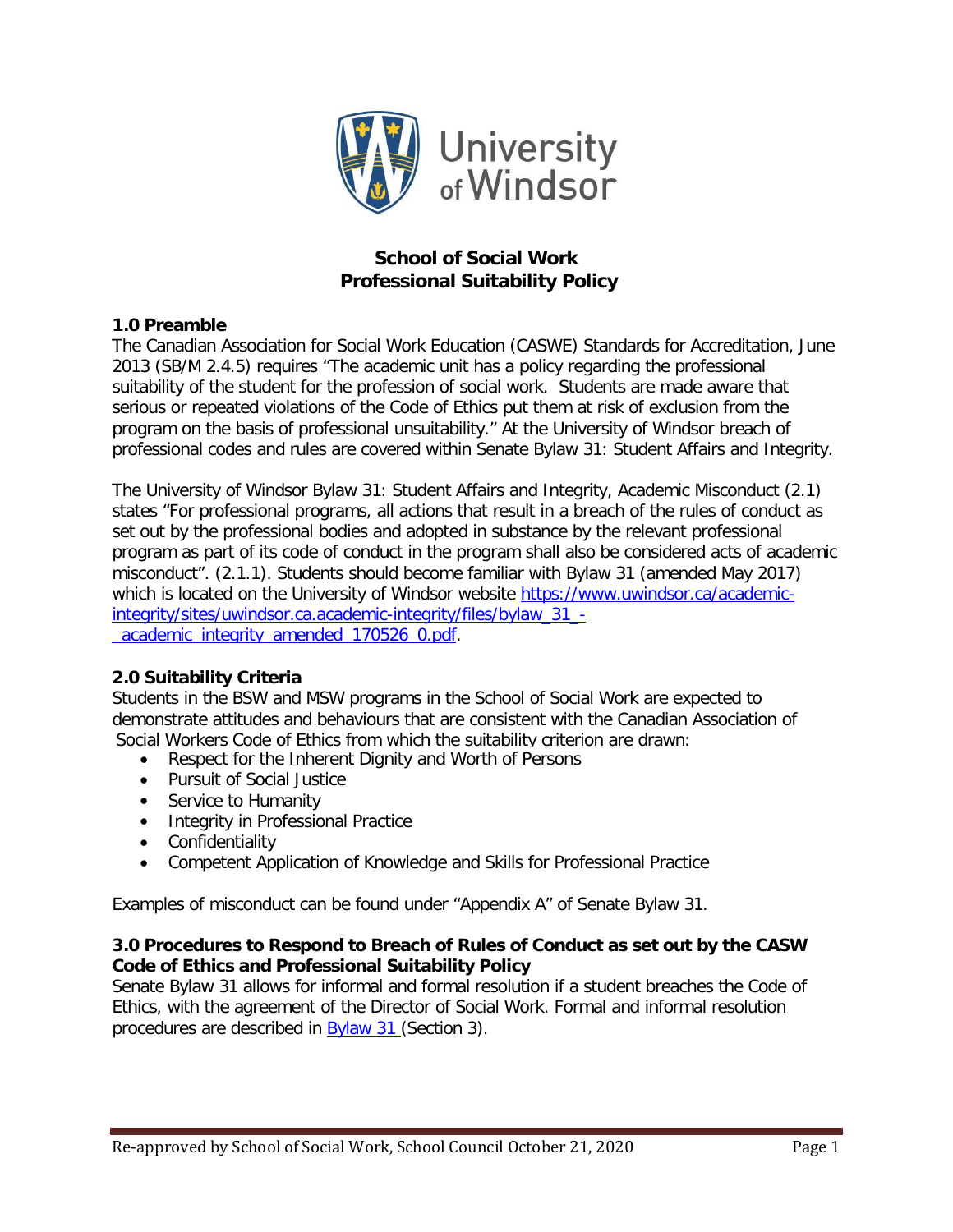

# **School of Social Work Professional Suitability Policy**

# **1.0 Preamble**

The Canadian Association for Social Work Education (CASWE) Standards for Accreditation, June 2013 (SB/M 2.4.5) requires "The academic unit has a policy regarding the professional suitability of the student for the profession of social work. Students are made aware that serious or repeated violations of the Code of Ethics put them at risk of exclusion from the program on the basis of professional unsuitability." At the University of Windsor breach of professional codes and rules are covered within Senate Bylaw 31: Student Affairs and Integrity.

The University of Windsor Bylaw 31: Student Affairs and Integrity, Academic Misconduct (2.1) states "For professional programs, all actions that result in a breach of the rules of conduct as set out by the professional bodies and adopted in substance by the relevant professional program as part of its code of conduct in the program shall also be considered acts of academic misconduct". (2.1.1). Students should become familiar with Bylaw 31 (amended May 2017) which is located on the University of Windsor website [https://www.uwindsor.ca/academic](https://www.uwindsor.ca/academic-integrity/sites/uwindsor.ca.academic-integrity/files/bylaw_31_-_academic_integrity_amended_170526_0.pdf)[integrity/sites/uwindsor.ca.academic-integrity/files/bylaw\\_31\\_](https://www.uwindsor.ca/academic-integrity/sites/uwindsor.ca.academic-integrity/files/bylaw_31_-_academic_integrity_amended_170526_0.pdf) academic integrity amended 170526 0.pdf.

# **2.0 Suitability Criteria**

Students in the BSW and MSW programs in the School of Social Work are expected to demonstrate attitudes and behaviours that are consistent with the Canadian Association of Social Workers Code of Ethics from which the suitability criterion are drawn:

- Respect for the Inherent Dignity and Worth of Persons
- Pursuit of Social Justice
- Service to Humanity
- Integrity in Professional Practice
- Confidentiality
- Competent Application of Knowledge and Skills for Professional Practice

Examples of misconduct can be found under "Appendix A" of Senate Bylaw 31.

# **3.0 Procedures to Respond to Breach of Rules of Conduct as set out by the CASW Code of Ethics and Professional Suitability Policy**

Senate Bylaw 31 allows for informal and formal resolution if a student breaches the Code of Ethics, with the agreement of the Director of Social Work. Formal and informal resolution procedures are described in [Bylaw 31 \(](https://www.uwindsor.ca/academic-integrity/sites/uwindsor.ca.academic-integrity/files/bylaw_31_-_academic_integrity_amended_170526_0.pdf)Section 3).